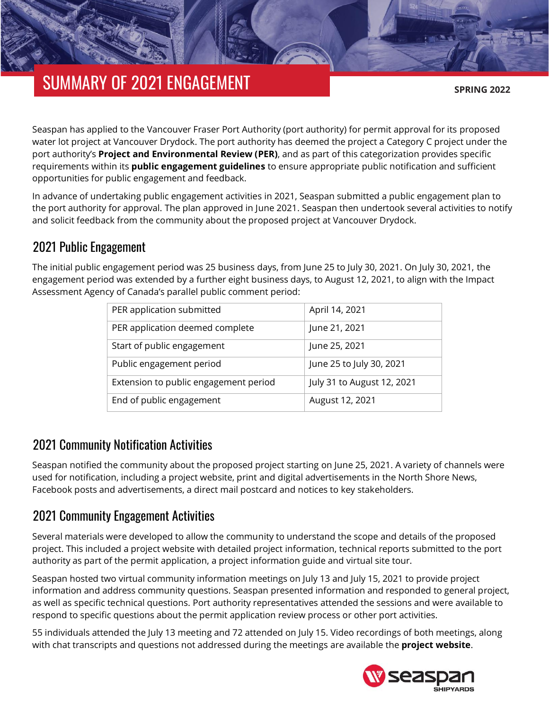# SUMMARY OF 2021 ENGAGEMENT

**SPRING 2022**

Seaspan has applied to the Vancouver Fraser Port Authority (port authority) for permit approval for its proposed water lot project at Vancouver Drydock. The port authority has deemed the project a Category C project under the port authority's **[Project and Environmental Review \(PER\)](https://www.portvancouver.com/permitting-and-reviews/per/)**, and as part of this categorization provides specific requirements within its **[public engagement guidelines](https://www.portvancouver.com/wp-content/uploads/2021/08/2021-07-20-PER-guidelines-public-engagement.pdf)** to ensure appropriate public notification and sufficient opportunities for public engagement and feedback.

In advance of undertaking public engagement activities in 2021, Seaspan submitted a public engagement plan to the port authority for approval. The plan approved in June 2021. Seaspan then undertook several activities to notify and solicit feedback from the community about the proposed project at Vancouver Drydock.

## 2021 Public Engagement

The initial public engagement period was 25 business days, from June 25 to July 30, 2021. On July 30, 2021, the engagement period was extended by a further eight business days, to August 12, 2021, to align with the Impact Assessment Agency of Canada's parallel public comment period:

| PER application submitted             | April 14, 2021             |
|---------------------------------------|----------------------------|
| PER application deemed complete       | June 21, 2021              |
| Start of public engagement            | June 25, 2021              |
| Public engagement period              | June 25 to July 30, 2021   |
| Extension to public engagement period | July 31 to August 12, 2021 |
| End of public engagement              | August 12, 2021            |

### 2021 Community Notification Activities

Seaspan notified the community about the proposed project starting on June 25, 2021. A variety of channels were used for notification, including a project website, print and digital advertisements in the North Shore News, Facebook posts and advertisements, a direct mail postcard and notices to key stakeholders.

## 2021 Community Engagement Activities

Several materials were developed to allow the community to understand the scope and details of the proposed project. This included a project website with detailed project information, technical reports submitted to the port authority as part of the permit application, a project information guide and virtual site tour.

Seaspan hosted two virtual community information meetings on July 13 and July 15, 2021 to provide project information and address community questions. Seaspan presented information and responded to general project, as well as specific technical questions. Port authority representatives attended the sessions and were available to respond to specific questions about the permit application review process or other port activities.

55 individuals attended the July 13 meeting and 72 attended on July 15. Video recordings of both meetings, along with chat transcripts and questions not addressed during the meetings are available the **[project website](https://drydockprojects.com/)**.